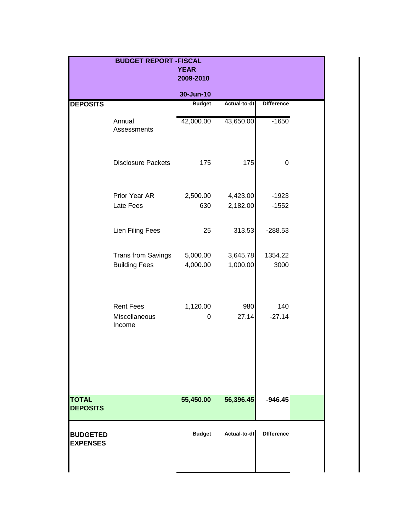|                                    | <b>BUDGET REPORT - FISCAL</b>               |                          |                      |                    |  |
|------------------------------------|---------------------------------------------|--------------------------|----------------------|--------------------|--|
|                                    |                                             | <b>YEAR</b><br>2009-2010 |                      |                    |  |
|                                    |                                             |                          |                      |                    |  |
|                                    |                                             | 30-Jun-10                |                      |                    |  |
| <b>DEPOSITS</b>                    |                                             | <b>Budget</b>            | Actual-to-dt         | <b>Difference</b>  |  |
|                                    | Annual<br>Assessments                       | 42,000.00                | 43,650.00            | $-1650$            |  |
|                                    | <b>Disclosure Packets</b>                   | 175                      | 175                  | 0                  |  |
|                                    | Prior Year AR<br>Late Fees                  | 2,500.00<br>630          | 4,423.00<br>2,182.00 | $-1923$<br>$-1552$ |  |
|                                    | Lien Filing Fees                            | 25                       | 313.53               | $-288.53$          |  |
|                                    | Trans from Savings<br><b>Building Fees</b>  | 5,000.00<br>4,000.00     | 3,645.78<br>1,000.00 | 1354.22<br>3000    |  |
|                                    | <b>Rent Fees</b><br>Miscellaneous<br>Income | 1,120.00<br>0            | 980<br>27.14         | 140<br>$-27.14$    |  |
| <b>TOTAL</b><br><b>DEPOSITS</b>    |                                             | 55,450.00                | 56,396.45            | $-946.45$          |  |
| <b>BUDGETED</b><br><b>EXPENSES</b> |                                             | <b>Budget</b>            | Actual-to-dt         | <b>Difference</b>  |  |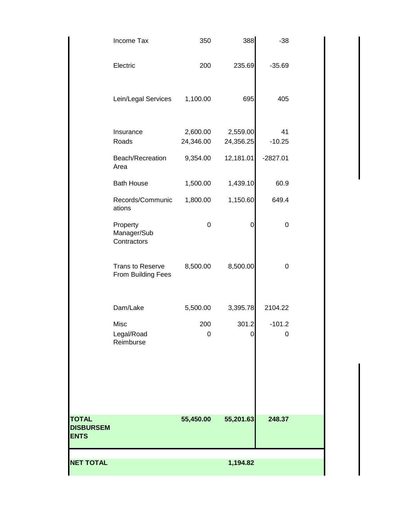| <b>NET TOTAL</b>                                |                                               |                       | 1,194.82              |                |  |
|-------------------------------------------------|-----------------------------------------------|-----------------------|-----------------------|----------------|--|
| <b>TOTAL</b><br><b>DISBURSEM</b><br><b>ENTS</b> |                                               | 55,450.00             | 55,201.63             | 248.37         |  |
|                                                 |                                               |                       |                       |                |  |
|                                                 | Misc<br>Legal/Road<br>Reimburse               | 200<br>0              | 301.2<br>0            | $-101.2$<br>0  |  |
|                                                 | Dam/Lake                                      | 5,500.00              | 3,395.78              | 2104.22        |  |
|                                                 | <b>Trans to Reserve</b><br>From Building Fees | 8,500.00              | 8,500.00              | 0              |  |
|                                                 | Property<br>Manager/Sub<br>Contractors        | 0                     | 0                     | 0              |  |
|                                                 | Records/Communic<br>ations                    | 1,800.00              | 1,150.60              | 649.4          |  |
|                                                 | Area<br><b>Bath House</b>                     | 1,500.00              | 1,439.10              | 60.9           |  |
|                                                 | Beach/Recreation                              | 9,354.00              | 12,181.01             | $-2827.01$     |  |
|                                                 | Insurance<br>Roads                            | 2,600.00<br>24,346.00 | 2,559.00<br>24,356.25 | 41<br>$-10.25$ |  |
|                                                 | Lein/Legal Services                           | 1,100.00              | 695                   | 405            |  |
|                                                 | Electric                                      | 200                   | 235.69                | $-35.69$       |  |
|                                                 | Income Tax                                    | 350                   | 388                   | $-38$          |  |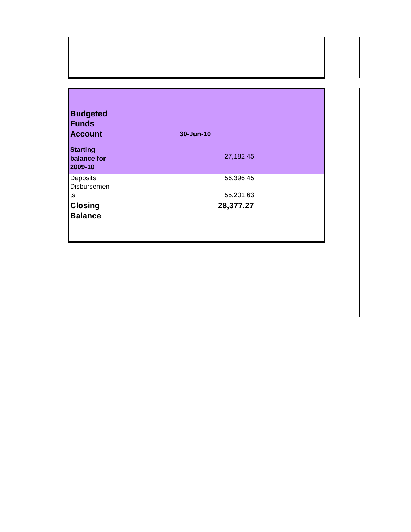| <b>Budgeted</b>                           |           |
|-------------------------------------------|-----------|
| <b>Funds</b>                              |           |
| <b>Account</b>                            | 30-Jun-10 |
| <b>Starting</b><br>balance for<br>2009-10 | 27,182.45 |
| Deposits<br>Disbursemen                   | 56,396.45 |
| ts                                        | 55,201.63 |
| <b>Closing</b>                            | 28,377.27 |
| <b>Balance</b>                            |           |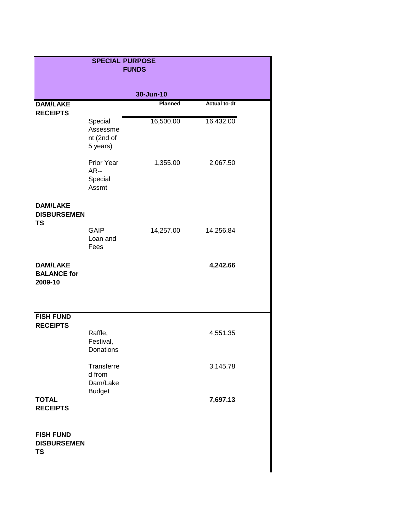| <b>SPECIAL PURPOSE</b><br><b>FUNDS</b>              |                                                   |           |                     |  |
|-----------------------------------------------------|---------------------------------------------------|-----------|---------------------|--|
|                                                     |                                                   | 30-Jun-10 |                     |  |
| <b>DAM/LAKE</b><br><b>RECEIPTS</b>                  |                                                   | Planned   | <b>Actual to-dt</b> |  |
|                                                     | Special<br>Assessme<br>nt (2nd of<br>5 years)     | 16,500.00 | 16,432.00           |  |
|                                                     | Prior Year<br>AR--<br>Special<br>Assmt            | 1,355.00  | 2,067.50            |  |
| <b>DAM/LAKE</b><br><b>DISBURSEMEN</b><br><b>TS</b>  |                                                   |           |                     |  |
|                                                     | <b>GAIP</b><br>Loan and<br>Fees                   | 14,257.00 | 14,256.84           |  |
| <b>DAM/LAKE</b><br><b>BALANCE for</b><br>2009-10    |                                                   |           | 4,242.66            |  |
| <b>FISH FUND</b>                                    |                                                   |           |                     |  |
| <b>RECEIPTS</b>                                     | Raffle,<br>Festival,<br>Donations                 |           | 4,551.35            |  |
|                                                     | Transferre<br>d from<br>Dam/Lake<br><b>Budget</b> |           | 3,145.78            |  |
| <b>TOTAL</b><br><b>RECEIPTS</b>                     |                                                   |           | 7,697.13            |  |
| <b>FISH FUND</b><br><b>DISBURSEMEN</b><br><b>TS</b> |                                                   |           |                     |  |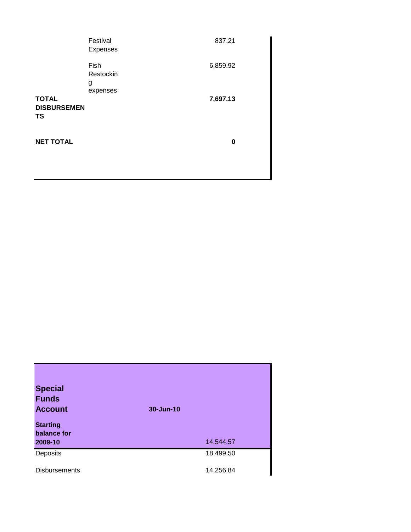|                                                 | Festival<br>Expenses               | 837.21   |  |
|-------------------------------------------------|------------------------------------|----------|--|
|                                                 | Fish<br>Restockin<br>g<br>expenses | 6,859.92 |  |
| <b>TOTAL</b><br><b>DISBURSEMEN</b><br><b>TS</b> |                                    | 7,697.13 |  |
| <b>NET TOTAL</b>                                |                                    | 0        |  |

| <b>Special</b>                 |           |
|--------------------------------|-----------|
| <b>Funds</b>                   |           |
| <b>Account</b>                 | 30-Jun-10 |
| <b>Starting</b><br>balance for |           |
| 2009-10                        | 14,544.57 |
| Deposits                       | 18,499.50 |
| <b>Disbursements</b>           | 14,256.84 |